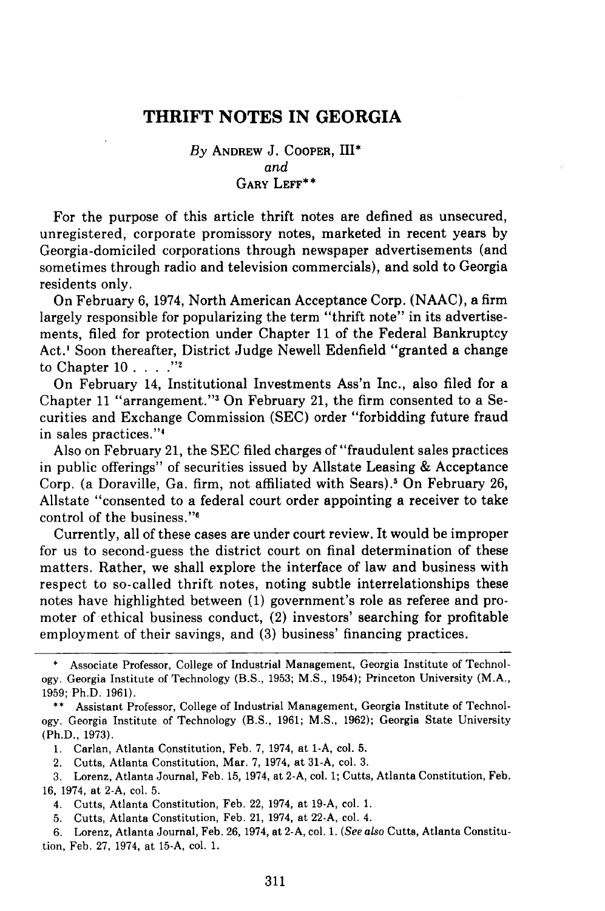# **THRIFT NOTES IN GEORGIA**

# *By* ANDREW J. COOPER, HII\* *and* GARY LEFF\*\*

For the purpose of this article thrift notes are defined as unsecured, unregistered, corporate promissory notes, marketed in recent years by Georgia-domiciled corporations through newspaper advertisements (and sometimes through radio and television commercials), and sold to Georgia residents only.

On February 6, 1974, North American Acceptance Corp. (NAAC), a firm largely responsible for popularizing the term "thrift note" in its advertisements, filed for protection under Chapter 11 of the Federal Bankruptcy Act.' Soon thereafter, District Judge Newell Edenfield "granted a change to Chapter 10 . . **"2**

On February 14, Institutional Investments Ass'n Inc., also filed for a Chapter 11 "arrangement." On February 21, the firm consented to a Securities and Exchange Commission (SEC) order "forbidding future fraud in sales practices."<sup>4</sup>

Also on February 21, the SEC filed charges of "fraudulent sales practices in public offerings" of securities issued by Allstate Leasing & Acceptance Corp. (a Doraville, Ga. firm, not affiliated with Sears).5 On February **26,** Allstate "consented to a federal court order appointing a receiver to take control of the business."'

Currently, all of these cases are under court review. It would be improper for us to second-guess the district court on final determination of these matters. Rather, we shall explore the interface of law and business with respect to so-called thrift notes, noting subtle interrelationships these notes have highlighted between **(1)** government's role as referee and promoter of ethical business conduct, (2) investors' searching for profitable employment of their savings, and **(3)** business' financing practices.

5. Cutts, Atlanta Constitution, Feb. 21, 1974, at **22-A,** col. 4.

6. Lorenz, Atlanta Journal, Feb. **26,** 1974, at 2-A, col. 1. *(See also* Cutts, Atlanta Constitution, Feb. **27,** 1974, at 15-A, col. 1.

Associate Professor, College of Industrial Management, Georgia Institute of Technology. Georgia Institute of Technology (B.S., **1953;** M.S., 1954); Princeton University (M.A., **1959;** Ph.D. 1961).

<sup>\*\*</sup> Assistant Professor, College of Industrial Management, Georgia Institute of Technology. Georgia Institute of Technology (B.S., 1961; M.S., 1962); Georgia State University (Ph.D., **1973).**

<sup>1.</sup> Carlan, Atlanta Constitution, Feb. 7, 1974, at 1-A, col. 5.

<sup>2.</sup> Cutts, Atlanta Constitution, Mar. 7, 1974, at 31-A, col. **3.**

<sup>3.</sup> Lorenz, Atlanta Journal, Feb. **15,** 1974, at 2-A, col. 1; Cutts, Atlanta Constitution, Feb. 16, 1974, at 2-A, col. 5.

<sup>4.</sup> Cutts, Atlanta Constitution, Feb. 22, 1974, at 19-A, col. 1.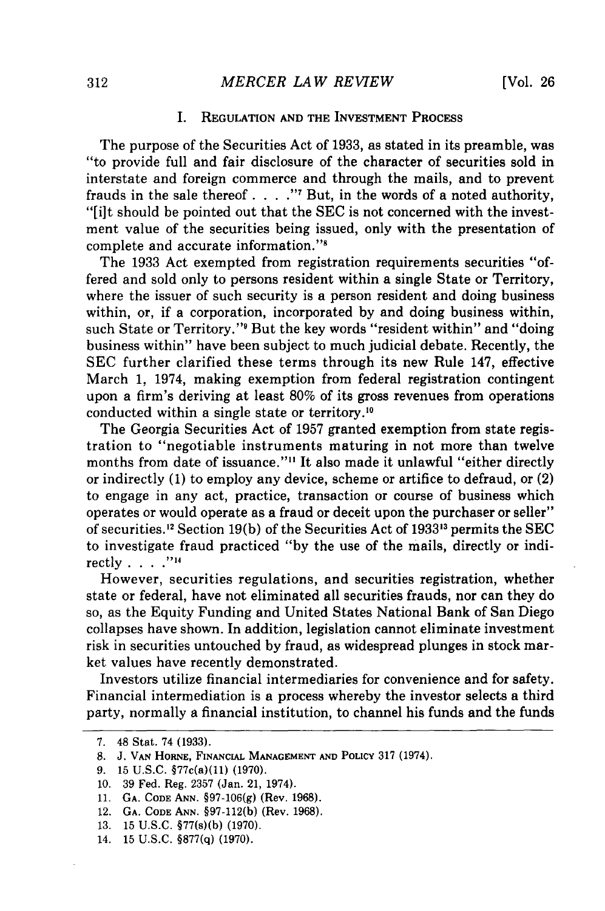#### **I.** REGULATION **AND** THE INVESTMENT PROCESS

The purpose of the Securities Act of **1933,** as stated in its preamble, was "to provide full and fair disclosure of the character of securities sold in interstate and foreign commerce and through the mails, and to prevent frauds in the sale thereof. . **.** . **"I** But, in the words of a noted authority, **"[ilt** should be pointed out that the **SEC** is not concerned with the investment value of the securities being issued, only with the presentation of complete and accurate information."<sup>8</sup>

The **1933** Act exempted from registration requirements securities "offered and sold only to persons resident within a single State or Territory, where the issuer of such security is a person resident and doing business within, or, if a corporation, incorporated **by** and doing business within, such State or Territory." But the key words "resident within" and "doing business within" have been subject to much judicial debate. Recently, the **SEC** further clarified these terms through its new Rule 147, effective March **1,** 1974, making exemption from federal registration contingent upon a firm's deriving at least **80%** of its gross revenues from operations conducted within a single state or territory.<sup>10</sup>

The Georgia Securities Act of **1957** granted exemption from state registration to "negotiable instruments maturing in not more than twelve months from date of issuance."<sup>11</sup> It also made it unlawful "either directly or indirectly **(1)** to employ any device, scheme or artifice to defraud, or (2) to engage in any act, practice, transaction or course of business which operates or would operate as a fraud or deceit upon the purchaser or seller" of securities. 2 Section **19(b)** of the Securities Act of **19333s** permits the **SEC** to investigate fraud practiced **"by** the use of the mails, directly or indirectly **.... ""**

However, securities regulations, and securities registration, whether state or federal, have not eliminated all securities frauds, nor can they do so, as the Equity Funding and United States National Bank of San Diego collapses have shown. In addition, legislation cannot eliminate investment risk in securities untouched **by** fraud, as widespread plunges in stock market values have recently demonstrated.

Investors utilize financial intermediaries for convenience and for safety. Financial intermediation is a process whereby the investor selects a third party, normally a financial institution, to channel his funds and the funds

**<sup>7.</sup>** 48 Stat. 74 **(1933).**

**<sup>8.</sup> J. VAN HORNE, FINANCIAL MANAGEMENT AND POLICY 317** (1974).

**<sup>9. 15</sup> U.S.C.** §77c(a)(11) **(1970).**

**<sup>10. 39</sup>** Fed. Reg. **2357** (Jan. 21, 1974).

**<sup>11.</sup> GA. CODE ANN. §97-106(g)** (Rev. **1968).**

<sup>12.</sup> **GA. CODE ANN. §97-112(b)** (Rev. **1968).**

**<sup>13. 15</sup> U.S.C.** §77(s)(b) **(1970).**

<sup>14.</sup> **15 U.S.C. §877(q) (1970).**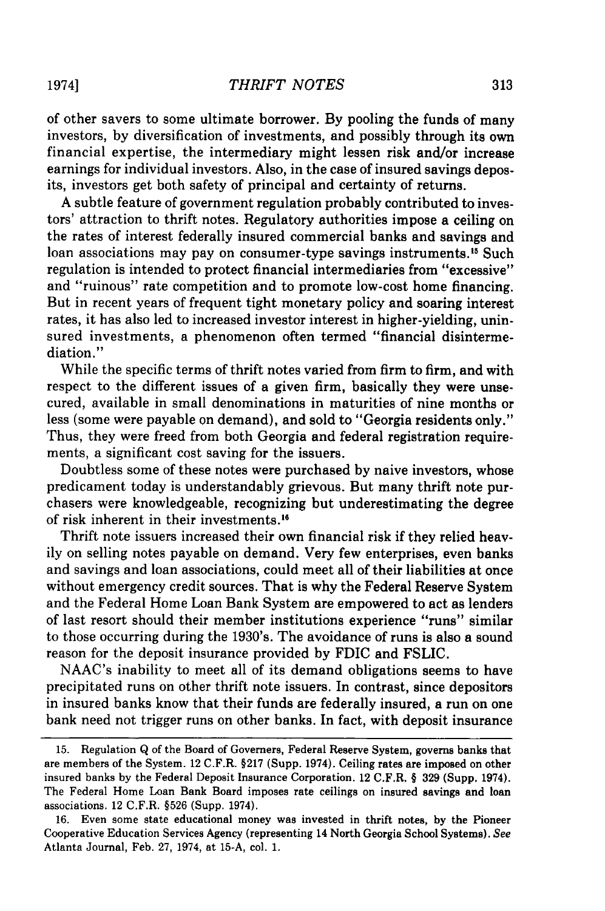of other savers to some ultimate borrower. By pooling the funds of many investors, by diversification of investments, and possibly through its own financial expertise, the intermediary might lessen risk and/or increase earnings for individual investors. Also, in the case of insured savings deposits, investors get both safety of principal and certainty of returns.

A subtle feature of government regulation probably contributed to investors' attraction to thrift notes. Regulatory authorities impose a ceiling on the rates of interest federally insured commercial banks and savings and loan associations may pay on consumer-type savings instruments.<sup>15</sup> Such regulation is intended to protect financial intermediaries from "excessive" and "ruinous" rate competition and to promote low-cost home financing. But in recent years of frequent tight monetary policy and soaring interest rates, it has also led to increased investor interest in higher-yielding, uninsured investments, a phenomenon often termed "financial disintermediation."

While the specific terms of thrift notes varied from firm to firm, and with respect to the different issues of a given firm, basically they were unsecured, available in small denominations in maturities of nine months or less (some were payable on demand), and sold to "Georgia residents only." Thus, they were freed from both Georgia and federal registration requirements, a significant cost saving for the issuers.

Doubtless some of these notes were purchased by naive investors, whose predicament today is understandably grievous. But many thrift note purchasers were knowledgeable, recognizing but underestimating the degree of risk inherent in their investments.'

Thrift note issuers increased their own financial risk if they relied heavily on selling notes payable on demand. Very few enterprises, even banks and savings and loan associations, could meet all of their liabilities at once without emergency credit sources. That is why the Federal Reserve System and the Federal Home Loan Bank System are empowered to act as lenders of last resort should their member institutions experience "runs" similar to those occurring during the 1930's. The avoidance of runs is also a sound reason for the deposit insurance provided by FDIC and FSLIC.

NAAC's inability to meet all of its demand obligations seems to have precipitated runs on other thrift note issuers. In contrast, since depositors in insured banks know that their funds are federally insured, a run on one bank need not trigger runs on other banks. In fact, with deposit insurance

<sup>15.</sup> Regulation Q of the Board of Governers, Federal Reserve System, governs banks that are members of the System. 12 C.F.R. §217 (Supp. 1974). Ceiling rates are imposed on other insured banks by the Federal Deposit Insurance Corporation. 12 C.F.R. § **329** (Supp. 1974). The Federal Home Loan Bank Board imposes rate ceilings on insured savings and loan associations. 12 C.F.R. §526 (Supp. 1974).

<sup>16.</sup> Even some state educational money was invested in thrift notes, by the Pioneer Cooperative Education Services Agency (representing 14 North Georgia School Systems). See Atlanta Journal, Feb. 27, 1974, at **15-A,** col. 1.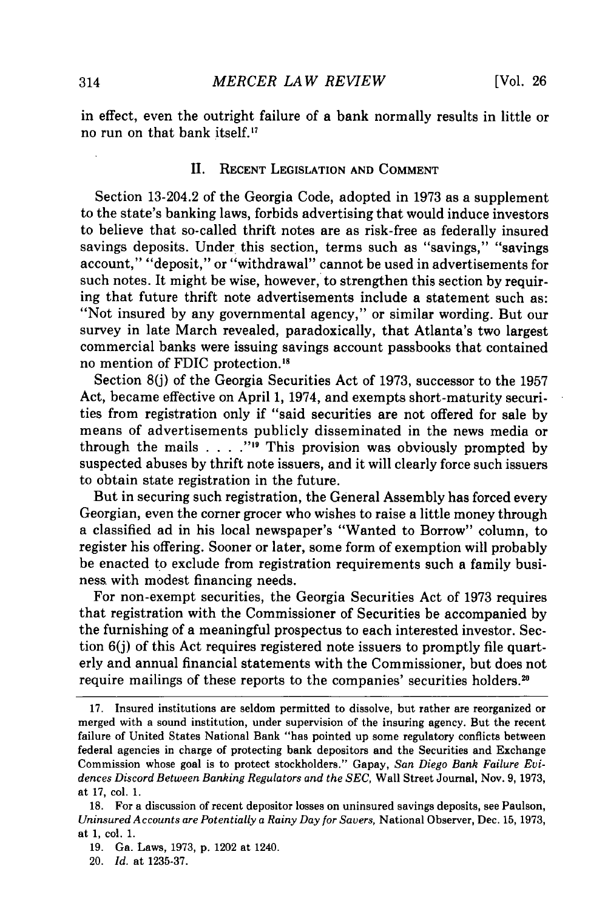in effect, even the outright failure of a bank normally results in little or no run on that bank itself."

## II. RECENT LEGISLATION **AND COMMENT**

Section 13-204.2 of the Georgia Code, adopted in 1973 as a supplement to the state's banking laws, forbids advertising that would induce investors to believe that so-called thrift notes are as risk-free as federally insured savings deposits. Under this section, terms such as "savings," "savings account," "deposit," or "withdrawal" cannot be used in advertisements for such notes. It might be wise, however, to strengthen this section by requiring that future thrift note advertisements include a statement such as: "Not insured by any governmental agency," or similar wording. But our survey in late March revealed, paradoxically, that Atlanta's two largest commercial banks were issuing savings account passbooks that contained no mention of FDIC protection.

Section 8(j) of the Georgia Securities Act of 1973, successor to the 1957 Act, became effective on April 1, 1974, and exempts short-maturity securities from registration only if "said securities are not offered for sale by means of advertisements publicly disseminated in the news media or through the mails  $\ldots$  . . . . <sup>"19</sup> This provision was obviously prompted by suspected abuses by thrift note issuers, and it will clearly force such issuers to obtain state registration in the future.

But in securing such registration, the General Assembly has forced every Georgian, even the corner grocer who wishes to raise a little money through a classified ad in his local newspaper's "Wanted to Borrow" column, to register his offering. Sooner or later, some form of exemption will probably be enacted to exclude from registration requirements such a family business. with modest financing needs.

For non-exempt securities, the Georgia Securities Act of 1973 requires that registration with the Commissioner of Securities be accompanied by the furnishing of a meaningful prospectus to each interested investor. Section 6(j) of this Act requires registered note issuers to promptly file quarterly and annual financial statements with the Commissioner, but does not require mailings of these reports to the companies' securities holders.<sup>20</sup>

<sup>17.</sup> Insured institutions are seldom permitted to dissolve, but rather are reorganized or merged with a sound institution, under supervision of the insuring agency. But the recent failure of United States National Bank "has pointed up some regulatory conflicts between federal agencies in charge of protecting bank depositors and the Securities and Exchange Commission whose goal is to protect stockholders." Gapay, *San Diego Bank Failure Evidences Discord Between Banking Regulators and the SEC,* Wall Street Journal, Nov. 9, 1973, at 17, col. 1.

<sup>18.</sup> For a discussion of recent depositor losses on uninsured savings deposits, see Paulson, *Uninsured Accounts are Potentially a Rainy Day for Savers,* National Observer, Dec. 15, 1973, at 1, col. 1.

<sup>19.</sup> Ga. Laws, 1973, p. 1202 at 1240.

<sup>20.</sup> *Id.* at 1235-37.